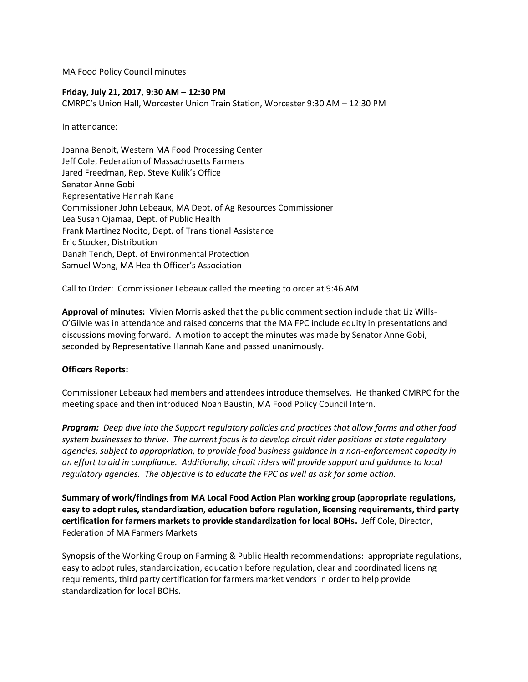MA Food Policy Council minutes

### **Friday, July 21, 2017, 9:30 AM – 12:30 PM**

CMRPC's Union Hall, Worcester Union Train Station, Worcester 9:30 AM – 12:30 PM

In attendance:

Joanna Benoit, Western MA Food Processing Center Jeff Cole, Federation of Massachusetts Farmers Jared Freedman, Rep. Steve Kulik's Office Senator Anne Gobi Representative Hannah Kane Commissioner John Lebeaux, MA Dept. of Ag Resources Commissioner Lea Susan Ojamaa, Dept. of Public Health Frank Martinez Nocito, Dept. of Transitional Assistance Eric Stocker, Distribution Danah Tench, Dept. of Environmental Protection Samuel Wong, MA Health Officer's Association

Call to Order: Commissioner Lebeaux called the meeting to order at 9:46 AM.

**Approval of minutes:** Vivien Morris asked that the public comment section include that Liz Wills-O'Gilvie was in attendance and raised concerns that the MA FPC include equity in presentations and discussions moving forward. A motion to accept the minutes was made by Senator Anne Gobi, seconded by Representative Hannah Kane and passed unanimously.

## **Officers Reports:**

Commissioner Lebeaux had members and attendees introduce themselves. He thanked CMRPC for the meeting space and then introduced Noah Baustin, MA Food Policy Council Intern.

*Program: Deep dive into the Support regulatory policies and practices that allow farms and other food system businesses to thrive. The current focus is to develop circuit rider positions at state regulatory agencies, subject to appropriation, to provide food business guidance in a non-enforcement capacity in an effort to aid in compliance. Additionally, circuit riders will provide support and guidance to local regulatory agencies. The objective is to educate the FPC as well as ask for some action.*

**Summary of work/findings from MA Local Food Action Plan working group (appropriate regulations, easy to adopt rules, standardization, education before regulation, licensing requirements, third party certification for farmers markets to provide standardization for local BOHs.** Jeff Cole, Director, Federation of MA Farmers Markets

Synopsis of the Working Group on Farming & Public Health recommendations: appropriate regulations, easy to adopt rules, standardization, education before regulation, clear and coordinated licensing requirements, third party certification for farmers market vendors in order to help provide standardization for local BOHs.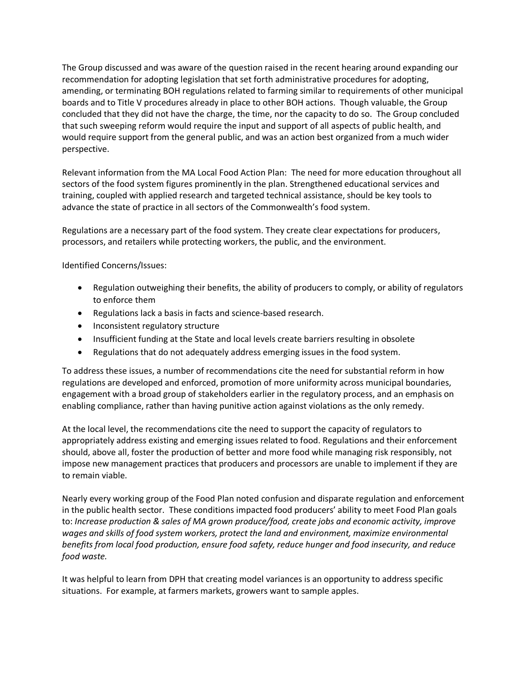The Group discussed and was aware of the question raised in the recent hearing around expanding our recommendation for adopting legislation that set forth administrative procedures for adopting, amending, or terminating BOH regulations related to farming similar to requirements of other municipal boards and to Title V procedures already in place to other BOH actions. Though valuable, the Group concluded that they did not have the charge, the time, nor the capacity to do so. The Group concluded that such sweeping reform would require the input and support of all aspects of public health, and would require support from the general public, and was an action best organized from a much wider perspective.

Relevant information from the MA Local Food Action Plan: The need for more education throughout all sectors of the food system figures prominently in the plan. Strengthened educational services and training, coupled with applied research and targeted technical assistance, should be key tools to advance the state of practice in all sectors of the Commonwealth's food system.

Regulations are a necessary part of the food system. They create clear expectations for producers, processors, and retailers while protecting workers, the public, and the environment.

Identified Concerns/Issues:

- Regulation outweighing their benefits, the ability of producers to comply, or ability of regulators to enforce them
- Regulations lack a basis in facts and science-based research.
- Inconsistent regulatory structure
- Insufficient funding at the State and local levels create barriers resulting in obsolete
- Regulations that do not adequately address emerging issues in the food system.

To address these issues, a number of recommendations cite the need for substantial reform in how regulations are developed and enforced, promotion of more uniformity across municipal boundaries, engagement with a broad group of stakeholders earlier in the regulatory process, and an emphasis on enabling compliance, rather than having punitive action against violations as the only remedy.

At the local level, the recommendations cite the need to support the capacity of regulators to appropriately address existing and emerging issues related to food. Regulations and their enforcement should, above all, foster the production of better and more food while managing risk responsibly, not impose new management practices that producers and processors are unable to implement if they are to remain viable.

Nearly every working group of the Food Plan noted confusion and disparate regulation and enforcement in the public health sector. These conditions impacted food producers' ability to meet Food Plan goals to: *Increase production & sales of MA grown produce/food, create jobs and economic activity, improve wages and skills of food system workers, protect the land and environment, maximize environmental benefits from local food production, ensure food safety, reduce hunger and food insecurity, and reduce food waste.* 

It was helpful to learn from DPH that creating model variances is an opportunity to address specific situations. For example, at farmers markets, growers want to sample apples.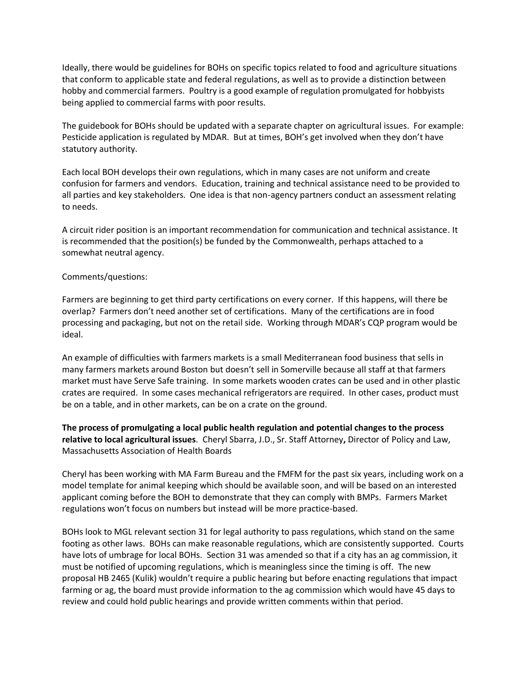Ideally, there would be guidelines for BOHs on specific topics related to food and agriculture situations that conform to applicable state and federal regulations, as well as to provide a distinction between hobby and commercial farmers. Poultry is a good example of regulation promulgated for hobbyists being applied to commercial farms with poor results.

The guidebook for BOHs should be updated with a separate chapter on agricultural issues. For example: Pesticide application is regulated by MDAR. But at times, BOH's get involved when they don't have statutory authority.

Each local BOH develops their own regulations, which in many cases are not uniform and create confusion for farmers and vendors. Education, training and technical assistance need to be provided to all parties and key stakeholders. One idea is that non-agency partners conduct an assessment relating to needs.

A circuit rider position is an important recommendation for communication and technical assistance. It is recommended that the position(s) be funded by the Commonwealth, perhaps attached to a somewhat neutral agency.

### Comments/questions:

Farmers are beginning to get third party certifications on every corner. If this happens, will there be overlap? Farmers don't need another set of certifications. Many of the certifications are in food processing and packaging, but not on the retail side. Working through MDAR's CQP program would be ideal.

An example of difficulties with farmers markets is a small Mediterranean food business that sells in many farmers markets around Boston but doesn't sell in Somerville because all staff at that farmers market must have Serve Safe training. In some markets wooden crates can be used and in other plastic crates are required. In some cases mechanical refrigerators are required. In other cases, product must be on a table, and in other markets, can be on a crate on the ground.

**The process of promulgating a local public health regulation and potential changes to the process relative to local agricultural issues**. Cheryl Sbarra, J.D., Sr. Staff Attorney**,** Director of Policy and Law, Massachusetts Association of Health Boards

Cheryl has been working with MA Farm Bureau and the FMFM for the past six years, including work on a model template for animal keeping which should be available soon, and will be based on an interested applicant coming before the BOH to demonstrate that they can comply with BMPs. Farmers Market regulations won't focus on numbers but instead will be more practice-based.

BOHs look to MGL relevant section 31 for legal authority to pass regulations, which stand on the same footing as other laws. BOHs can make reasonable regulations, which are consistently supported. Courts have lots of umbrage for local BOHs. Section 31 was amended so that if a city has an ag commission, it must be notified of upcoming regulations, which is meaningless since the timing is off. The new proposal HB 2465 (Kulik) wouldn't require a public hearing but before enacting regulations that impact farming or ag, the board must provide information to the ag commission which would have 45 days to review and could hold public hearings and provide written comments within that period.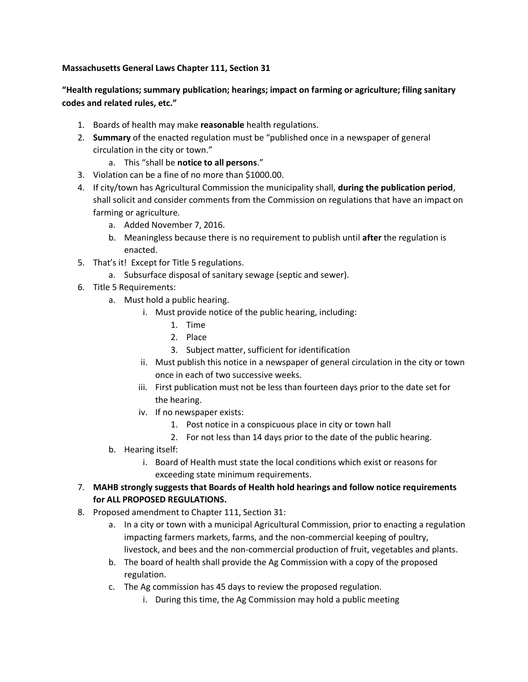# **Massachusetts General Laws Chapter 111, Section 31**

# **"Health regulations; summary publication; hearings; impact on farming or agriculture; filing sanitary codes and related rules, etc."**

- 1. Boards of health may make **reasonable** health regulations.
- 2. **Summary** of the enacted regulation must be "published once in a newspaper of general circulation in the city or town."
	- a. This "shall be **notice to all persons**."
- 3. Violation can be a fine of no more than \$1000.00.
- 4. If city/town has Agricultural Commission the municipality shall, **during the publication period**, shall solicit and consider comments from the Commission on regulations that have an impact on farming or agriculture.
	- a. Added November 7, 2016.
	- b. Meaningless because there is no requirement to publish until **after** the regulation is enacted.
- 5. That's it! Except for Title 5 regulations.
	- a. Subsurface disposal of sanitary sewage (septic and sewer).
- 6. Title 5 Requirements:
	- a. Must hold a public hearing.
		- i. Must provide notice of the public hearing, including:
			- 1. Time
			- 2. Place
			- 3. Subject matter, sufficient for identification
		- ii. Must publish this notice in a newspaper of general circulation in the city or town once in each of two successive weeks.
		- iii. First publication must not be less than fourteen days prior to the date set for the hearing.
		- iv. If no newspaper exists:
			- 1. Post notice in a conspicuous place in city or town hall
			- 2. For not less than 14 days prior to the date of the public hearing.
	- b. Hearing itself:
		- i. Board of Health must state the local conditions which exist or reasons for exceeding state minimum requirements.
- 7. **MAHB strongly suggests that Boards of Health hold hearings and follow notice requirements for ALL PROPOSED REGULATIONS.**
- 8. Proposed amendment to Chapter 111, Section 31:
	- a. In a city or town with a municipal Agricultural Commission, prior to enacting a regulation impacting farmers markets, farms, and the non-commercial keeping of poultry, livestock, and bees and the non-commercial production of fruit, vegetables and plants.
	- b. The board of health shall provide the Ag Commission with a copy of the proposed regulation.
	- c. The Ag commission has 45 days to review the proposed regulation.
		- i. During this time, the Ag Commission may hold a public meeting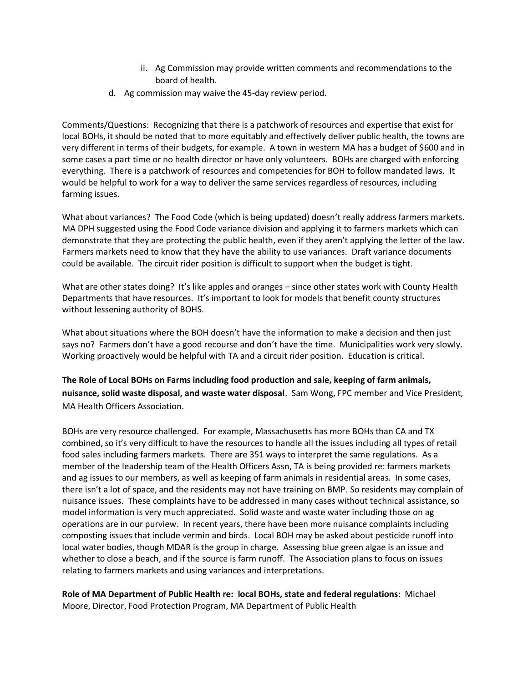- ii. Ag Commission may provide written comments and recommendations to the board of health.
- d. Ag commission may waive the 45-day review period.

Comments/Questions: Recognizing that there is a patchwork of resources and expertise that exist for local BOHs, it should be noted that to more equitably and effectively deliver public health, the towns are very different in terms of their budgets, for example. A town in western MA has a budget of \$600 and in some cases a part time or no health director or have only volunteers. BOHs are charged with enforcing everything. There is a patchwork of resources and competencies for BOH to follow mandated laws. It would be helpful to work for a way to deliver the same services regardless of resources, including farming issues.

What about variances? The Food Code (which is being updated) doesn't really address farmers markets. MA DPH suggested using the Food Code variance division and applying it to farmers markets which can demonstrate that they are protecting the public health, even if they aren't applying the letter of the law. Farmers markets need to know that they have the ability to use variances. Draft variance documents could be available. The circuit rider position is difficult to support when the budget is tight.

What are other states doing? It's like apples and oranges – since other states work with County Health Departments that have resources. It's important to look for models that benefit county structures without lessening authority of BOHS.

What about situations where the BOH doesn't have the information to make a decision and then just says no? Farmers don't have a good recourse and don't have the time. Municipalities work very slowly. Working proactively would be helpful with TA and a circuit rider position. Education is critical.

**The Role of Local BOHs on Farms including food production and sale, keeping of farm animals, nuisance, solid waste disposal, and waste water disposal**. Sam Wong, FPC member and Vice President, MA Health Officers Association.

BOHs are very resource challenged. For example, Massachusetts has more BOHs than CA and TX combined, so it's very difficult to have the resources to handle all the issues including all types of retail food sales including farmers markets. There are 351 ways to interpret the same regulations. As a member of the leadership team of the Health Officers Assn, TA is being provided re: farmers markets and ag issues to our members, as well as keeping of farm animals in residential areas. In some cases, there isn't a lot of space, and the residents may not have training on BMP. So residents may complain of nuisance issues. These complaints have to be addressed in many cases without technical assistance, so model information is very much appreciated. Solid waste and waste water including those on ag operations are in our purview. In recent years, there have been more nuisance complaints including composting issues that include vermin and birds. Local BOH may be asked about pesticide runoff into local water bodies, though MDAR is the group in charge. Assessing blue green algae is an issue and whether to close a beach, and if the source is farm runoff. The Association plans to focus on issues relating to farmers markets and using variances and interpretations.

**Role of MA Department of Public Health re: local BOHs, state and federal regulations**: Michael Moore, Director, Food Protection Program, MA Department of Public Health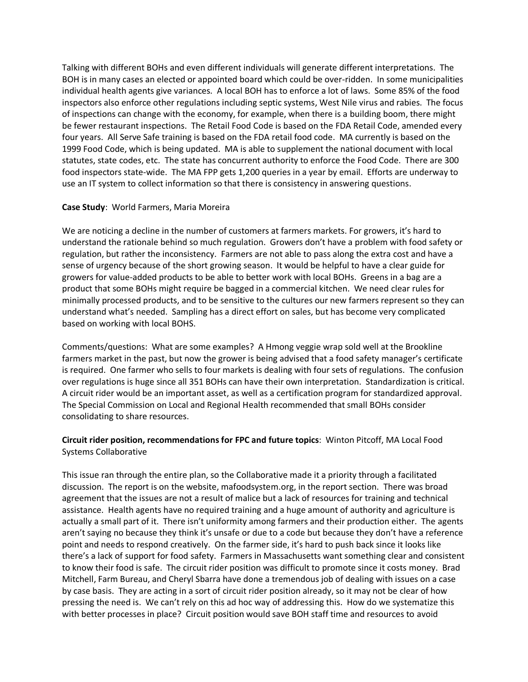Talking with different BOHs and even different individuals will generate different interpretations. The BOH is in many cases an elected or appointed board which could be over-ridden. In some municipalities individual health agents give variances. A local BOH has to enforce a lot of laws. Some 85% of the food inspectors also enforce other regulations including septic systems, West Nile virus and rabies. The focus of inspections can change with the economy, for example, when there is a building boom, there might be fewer restaurant inspections. The Retail Food Code is based on the FDA Retail Code, amended every four years. All Serve Safe training is based on the FDA retail food code. MA currently is based on the 1999 Food Code, which is being updated. MA is able to supplement the national document with local statutes, state codes, etc. The state has concurrent authority to enforce the Food Code. There are 300 food inspectors state-wide. The MA FPP gets 1,200 queries in a year by email. Efforts are underway to use an IT system to collect information so that there is consistency in answering questions.

### **Case Study**: World Farmers, Maria Moreira

We are noticing a decline in the number of customers at farmers markets. For growers, it's hard to understand the rationale behind so much regulation. Growers don't have a problem with food safety or regulation, but rather the inconsistency. Farmers are not able to pass along the extra cost and have a sense of urgency because of the short growing season. It would be helpful to have a clear guide for growers for value-added products to be able to better work with local BOHs. Greens in a bag are a product that some BOHs might require be bagged in a commercial kitchen. We need clear rules for minimally processed products, and to be sensitive to the cultures our new farmers represent so they can understand what's needed. Sampling has a direct effort on sales, but has become very complicated based on working with local BOHS.

Comments/questions: What are some examples? A Hmong veggie wrap sold well at the Brookline farmers market in the past, but now the grower is being advised that a food safety manager's certificate is required. One farmer who sells to four markets is dealing with four sets of regulations. The confusion over regulations is huge since all 351 BOHs can have their own interpretation. Standardization is critical. A circuit rider would be an important asset, as well as a certification program for standardized approval. The Special Commission on Local and Regional Health recommended that small BOHs consider consolidating to share resources.

# **Circuit rider position, recommendations for FPC and future topics**: Winton Pitcoff, MA Local Food Systems Collaborative

This issue ran through the entire plan, so the Collaborative made it a priority through a facilitated discussion. The report is on the website, mafoodsystem.org, in the report section. There was broad agreement that the issues are not a result of malice but a lack of resources for training and technical assistance. Health agents have no required training and a huge amount of authority and agriculture is actually a small part of it. There isn't uniformity among farmers and their production either. The agents aren't saying no because they think it's unsafe or due to a code but because they don't have a reference point and needs to respond creatively. On the farmer side, it's hard to push back since it looks like there's a lack of support for food safety. Farmers in Massachusetts want something clear and consistent to know their food is safe. The circuit rider position was difficult to promote since it costs money. Brad Mitchell, Farm Bureau, and Cheryl Sbarra have done a tremendous job of dealing with issues on a case by case basis. They are acting in a sort of circuit rider position already, so it may not be clear of how pressing the need is. We can't rely on this ad hoc way of addressing this. How do we systematize this with better processes in place? Circuit position would save BOH staff time and resources to avoid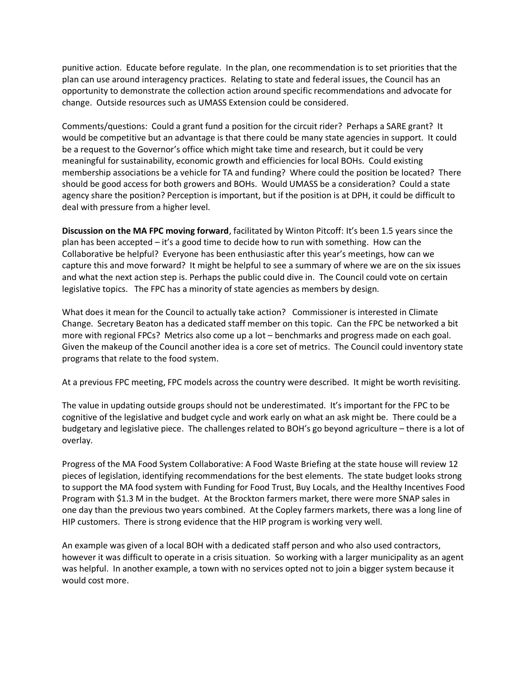punitive action. Educate before regulate. In the plan, one recommendation is to set priorities that the plan can use around interagency practices. Relating to state and federal issues, the Council has an opportunity to demonstrate the collection action around specific recommendations and advocate for change. Outside resources such as UMASS Extension could be considered.

Comments/questions: Could a grant fund a position for the circuit rider? Perhaps a SARE grant? It would be competitive but an advantage is that there could be many state agencies in support. It could be a request to the Governor's office which might take time and research, but it could be very meaningful for sustainability, economic growth and efficiencies for local BOHs. Could existing membership associations be a vehicle for TA and funding? Where could the position be located? There should be good access for both growers and BOHs. Would UMASS be a consideration? Could a state agency share the position? Perception is important, but if the position is at DPH, it could be difficult to deal with pressure from a higher level.

**Discussion on the MA FPC moving forward**, facilitated by Winton Pitcoff: It's been 1.5 years since the plan has been accepted – it's a good time to decide how to run with something. How can the Collaborative be helpful? Everyone has been enthusiastic after this year's meetings, how can we capture this and move forward? It might be helpful to see a summary of where we are on the six issues and what the next action step is. Perhaps the public could dive in. The Council could vote on certain legislative topics. The FPC has a minority of state agencies as members by design.

What does it mean for the Council to actually take action? Commissioner is interested in Climate Change. Secretary Beaton has a dedicated staff member on this topic. Can the FPC be networked a bit more with regional FPCs? Metrics also come up a lot – benchmarks and progress made on each goal. Given the makeup of the Council another idea is a core set of metrics. The Council could inventory state programs that relate to the food system.

At a previous FPC meeting, FPC models across the country were described. It might be worth revisiting.

The value in updating outside groups should not be underestimated. It's important for the FPC to be cognitive of the legislative and budget cycle and work early on what an ask might be. There could be a budgetary and legislative piece. The challenges related to BOH's go beyond agriculture – there is a lot of overlay.

Progress of the MA Food System Collaborative: A Food Waste Briefing at the state house will review 12 pieces of legislation, identifying recommendations for the best elements. The state budget looks strong to support the MA food system with Funding for Food Trust, Buy Locals, and the Healthy Incentives Food Program with \$1.3 M in the budget. At the Brockton farmers market, there were more SNAP sales in one day than the previous two years combined. At the Copley farmers markets, there was a long line of HIP customers. There is strong evidence that the HIP program is working very well.

An example was given of a local BOH with a dedicated staff person and who also used contractors, however it was difficult to operate in a crisis situation. So working with a larger municipality as an agent was helpful. In another example, a town with no services opted not to join a bigger system because it would cost more.